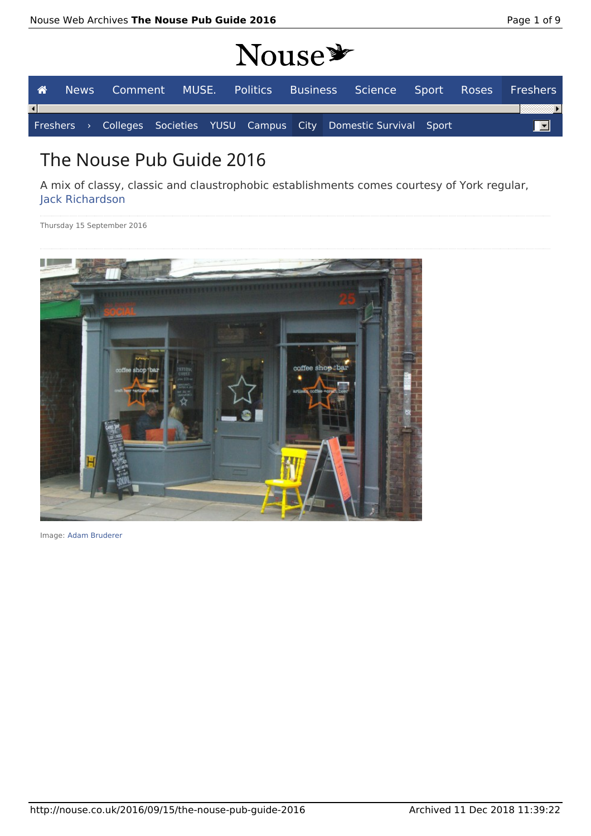# NOUSA

| $110000 -$ |  |  |  |  |  |  |  |                                                                        |  |                                                                   |
|------------|--|--|--|--|--|--|--|------------------------------------------------------------------------|--|-------------------------------------------------------------------|
| A ∴        |  |  |  |  |  |  |  |                                                                        |  | News Comment MUSE. Politics Business Science Sport Roses Freshers |
|            |  |  |  |  |  |  |  |                                                                        |  |                                                                   |
|            |  |  |  |  |  |  |  | Freshers > Colleges Societies YUSU Campus City Domestic Survival Sport |  | $\overline{\mathbf{r}}$                                           |

## The Nouse Pub Guide 2016

A mix of classy, classic and claustrophobic establishments comes courtesy of York regular, Jack Richardson

Thursday 15 September 2016



Image: Adam Bruderer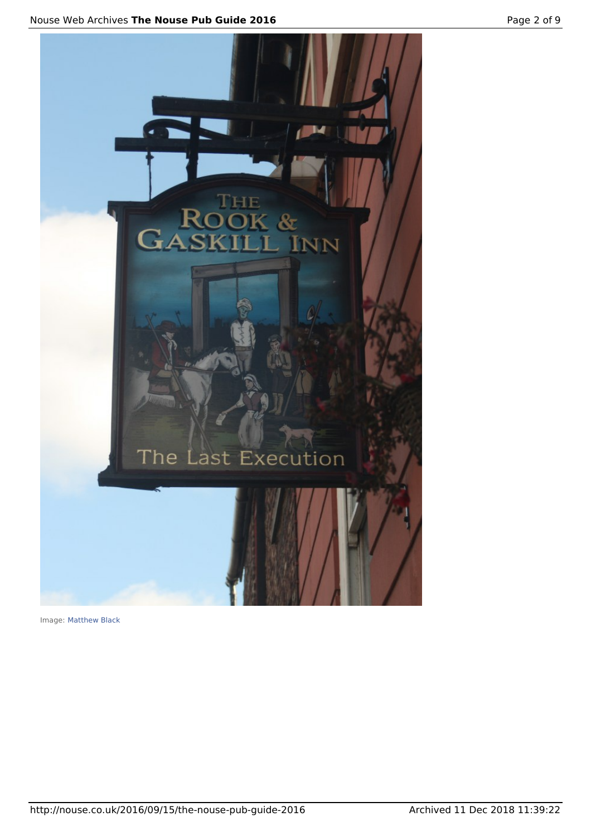



Image: Matthew Black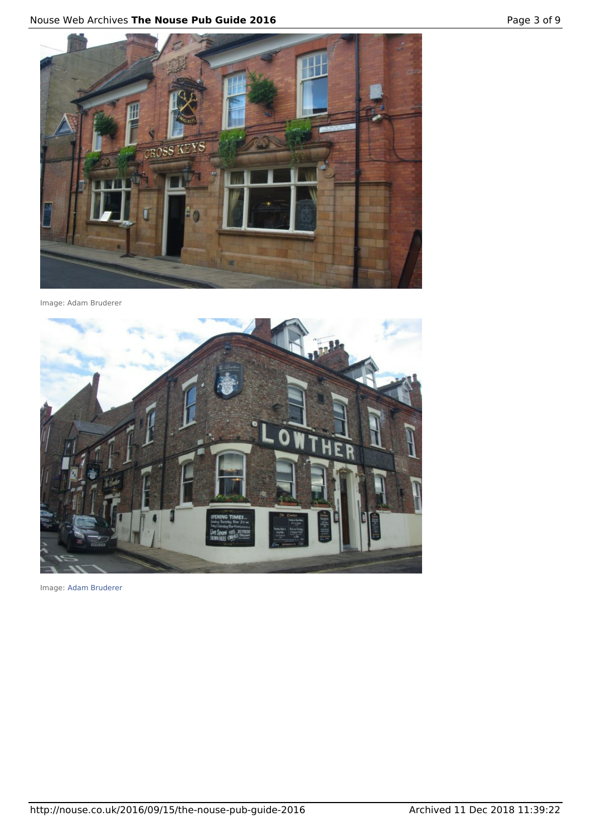

Image: Adam Bruderer



Image: Adam Bruderer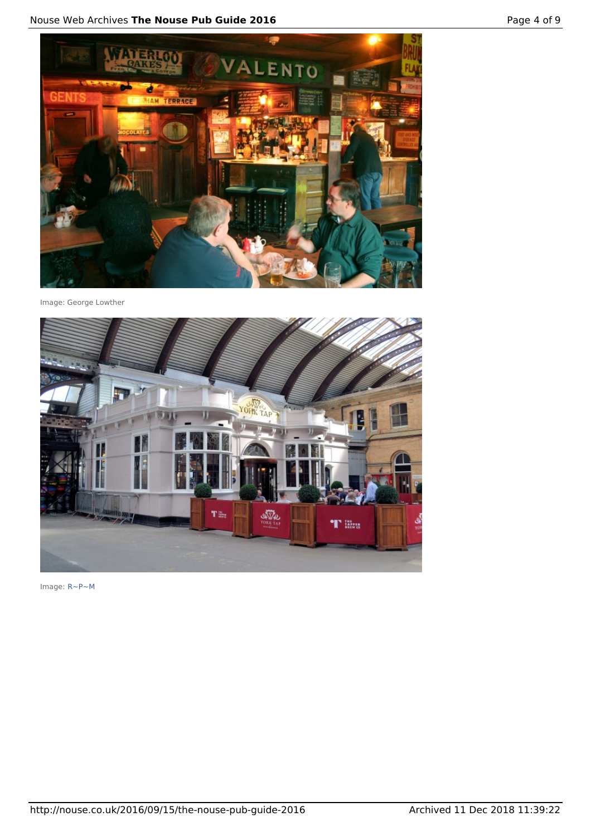

Image: George Lowther



Image: R~P~M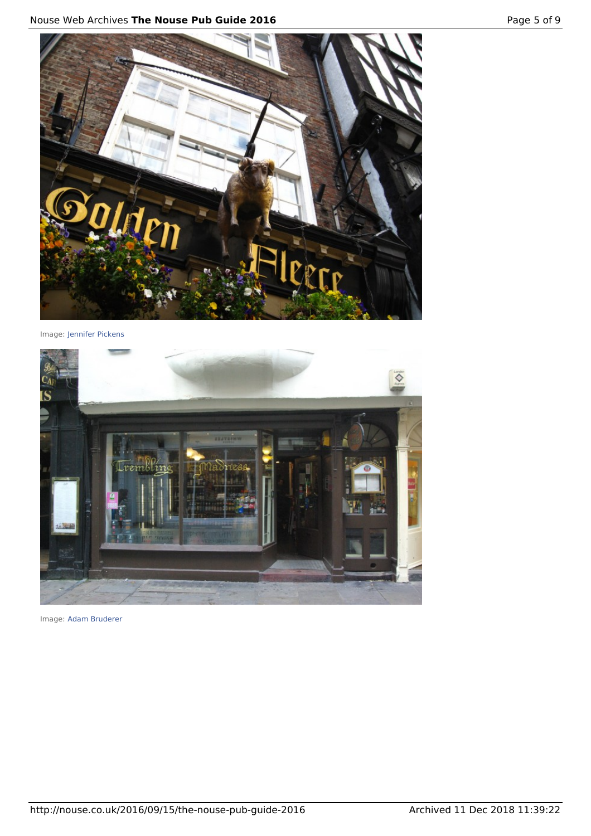

Image: Jennifer Pickens



Image: Adam Bruderer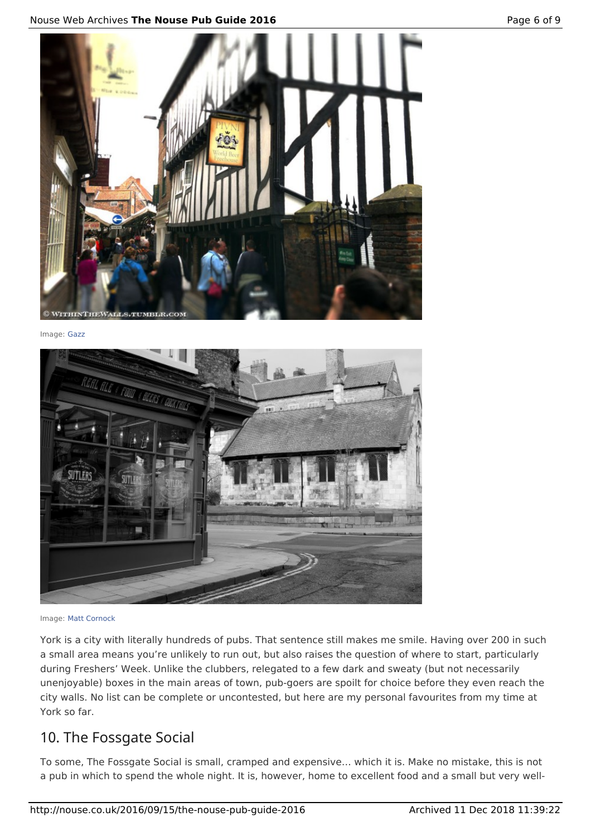#### Nouse Web Archives **The Nouse Pub Guide 2016** Page 6 of 9



Image: Gazz



Image: Matt Cornock

York is a city with literally hundreds of pubs. That sentence still makes me smile. Having over 200 in such a small area means you're unlikely to run out, but also raises the question of where to start, particularly during Freshers' Week. Unlike the clubbers, relegated to a few dark and sweaty (but not necessarily unenjoyable) boxes in the main areas of town, pub-goers are spoilt for choice before they even reach the city walls. No list can be complete or uncontested, but here are my personal favourites from my time at York so far.

#### 10. The Fossgate Social

To some, The Fossgate Social is small, cramped and expensive… which it is. Make no mistake, this is not a pub in which to spend the whole night. It is, however, home to excellent food and a small but very well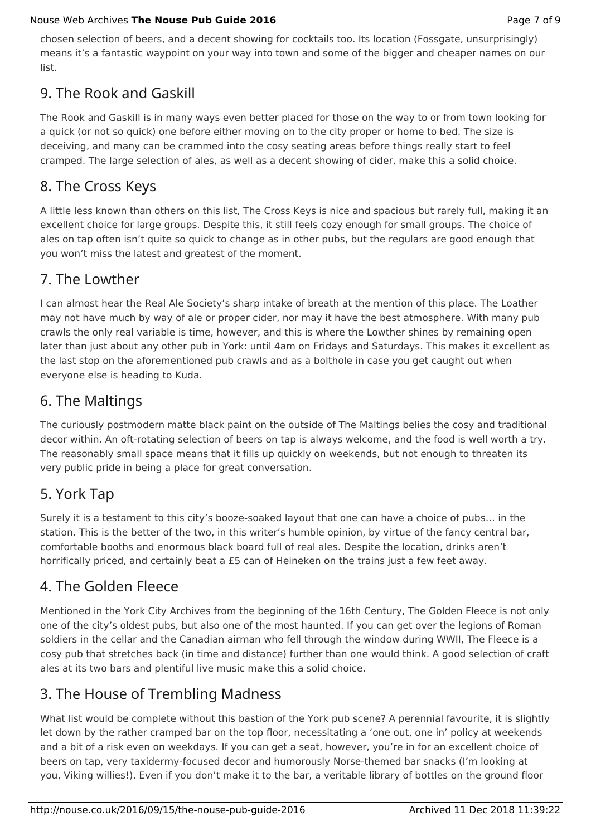chosen selection of beers, and a decent showing for cocktails too. Its location (Fossgate, unsurprisingly) means it's a fantastic waypoint on your way into town and some of the bigger and cheaper names on our list.

#### 9. The Rook and Gaskill

The Rook and Gaskill is in many ways even better placed for those on the way to or from town looking for a quick (or not so quick) one before either moving on to the city proper or home to bed. The size is deceiving, and many can be crammed into the cosy seating areas before things really start to feel cramped. The large selection of ales, as well as a decent showing of cider, make this a solid choice.

#### 8. The Cross Keys

A little less known than others on this list, The Cross Keys is nice and spacious but rarely full, making it an excellent choice for large groups. Despite this, it still feels cozy enough for small groups. The choice of ales on tap often isn't quite so quick to change as in other pubs, but the regulars are good enough that you won't miss the latest and greatest of the moment.

#### 7. The Lowther

I can almost hear the Real Ale Society's sharp intake of breath at the mention of this place. The Loather may not have much by way of ale or proper cider, nor may it have the best atmosphere. With many pub crawls the only real variable is time, however, and this is where the Lowther shines by remaining open later than just about any other pub in York: until 4am on Fridays and Saturdays. This makes it excellent as the last stop on the aforementioned pub crawls and as a bolthole in case you get caught out when everyone else is heading to Kuda.

#### 6. The Maltings

The curiously postmodern matte black paint on the outside of The Maltings belies the cosy and traditional decor within. An oft-rotating selection of beers on tap is always welcome, and the food is well worth a try. The reasonably small space means that it fills up quickly on weekends, but not enough to threaten its very public pride in being a place for great conversation.

#### 5. York Tap

Surely it is a testament to this city's booze-soaked layout that one can have a choice of pubs… in the station. This is the better of the two, in this writer's humble opinion, by virtue of the fancy central bar, comfortable booths and enormous black board full of real ales. Despite the location, drinks aren't horrifically priced, and certainly beat a £5 can of Heineken on the trains just a few feet away.

#### 4. The Golden Fleece

Mentioned in the York City Archives from the beginning of the 16th Century, The Golden Fleece is not only one of the city's oldest pubs, but also one of the most haunted. If you can get over the legions of Roman soldiers in the cellar and the Canadian airman who fell through the window during WWII, The Fleece is a cosy pub that stretches back (in time and distance) further than one would think. A good selection of craft ales at its two bars and plentiful live music make this a solid choice.

### 3. The House of Trembling Madness

What list would be complete without this bastion of the York pub scene? A perennial favourite, it is slightly let down by the rather cramped bar on the top floor, necessitating a 'one out, one in' policy at weekends and a bit of a risk even on weekdays. If you can get a seat, however, you're in for an excellent choice of beers on tap, very taxidermy-focused decor and humorously Norse-themed bar snacks (I'm looking at you, Viking willies!). Even if you don't make it to the bar, a veritable library of bottles on the ground floor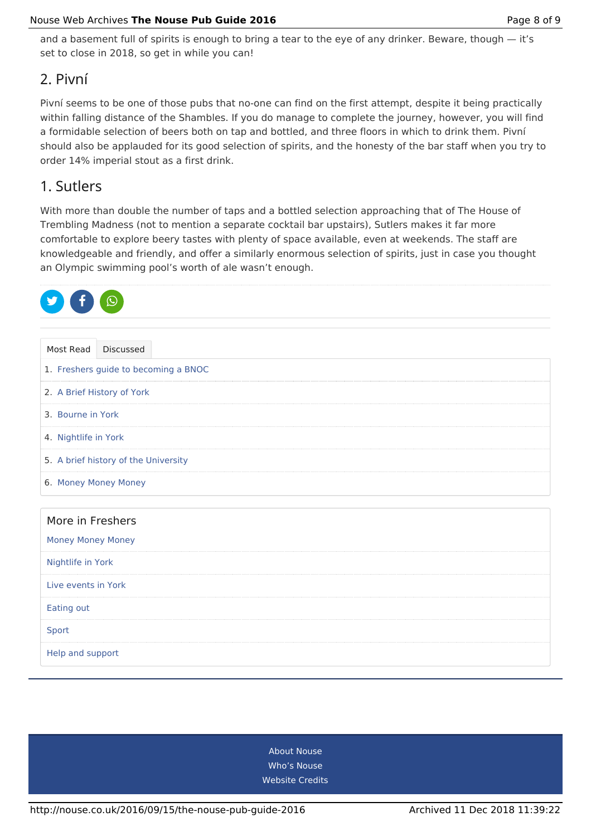and a basement full of spirits is enough to bring a tear to the eye of any drinker. Beware, though – it's set to close in 2018, so get in while you can!

#### 2. Pivní

Pivní seems to be one of those pubs that no-one can find on the first attempt, despite it being practically within falling distance of the Shambles. If you do manage to complete the journey, however, you will find a formidable selection of beers both on tap and bottled, and three floors in which to drink them. Pivní should also be applauded for its good selection of spirits, and the honesty of the bar staff when you try to order 14% imperial stout as a first drink.

#### 1. Sutlers

With more than double the number of taps and a bottled selection approaching that of The House of Trembling Madness (not to mention a separate cocktail bar upstairs), Sutlers makes it far more comfortable to explore beery tastes with plenty of space available, even at weekends. The staff are knowledgeable and friendly, and offer a similarly enormous selection of spirits, just in case you thought an Olympic swimming pool's worth of ale wasn't enough.

| Discussed<br>Most Read               |  |  |  |  |  |  |  |
|--------------------------------------|--|--|--|--|--|--|--|
| 1. Freshers guide to becoming a BNOC |  |  |  |  |  |  |  |
| 2. A Brief History of York           |  |  |  |  |  |  |  |
| 3. Bourne in York                    |  |  |  |  |  |  |  |
| 4. Nightlife in York                 |  |  |  |  |  |  |  |
| 5. A brief history of the University |  |  |  |  |  |  |  |
| 6. Money Money Money                 |  |  |  |  |  |  |  |
|                                      |  |  |  |  |  |  |  |
| More in Freshers                     |  |  |  |  |  |  |  |
| <b>Money Money Money</b>             |  |  |  |  |  |  |  |
| Nightlife in York                    |  |  |  |  |  |  |  |
| Live events in York                  |  |  |  |  |  |  |  |
| Eating out                           |  |  |  |  |  |  |  |
| Sport                                |  |  |  |  |  |  |  |
| Help and support                     |  |  |  |  |  |  |  |

About Nouse Who's Nouse Website Credits